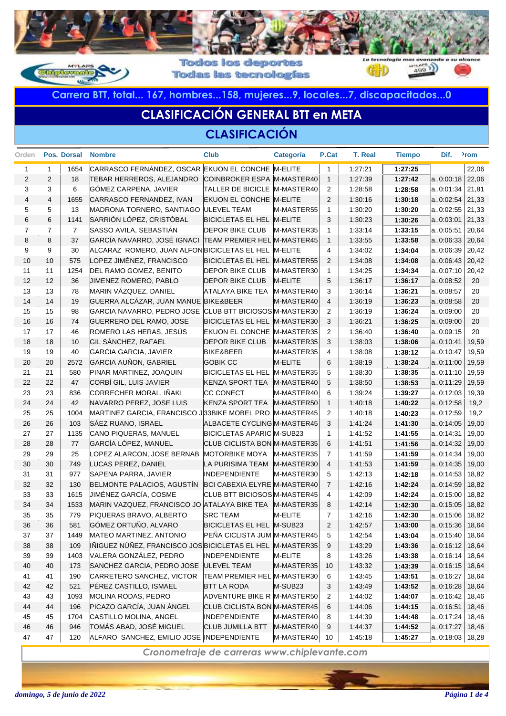

**Todas las tecnologías** 

**Carrera BTT, total... 167, hombres...158, mujeres...9, locales...7, discapacitados...0**

## **CLASIFICACIÓN GENERAL BTT en META**

### **CLASIFICACIÓN**

| Orden          |                | Pos. Dorsal    | <b>Nombre</b>                                             | <b>Club</b>                  | Categoría           | P.Cat          | T. Real | <b>Tiempo</b> | Dif.              | <sup>2</sup> rom |
|----------------|----------------|----------------|-----------------------------------------------------------|------------------------------|---------------------|----------------|---------|---------------|-------------------|------------------|
| 1              | $\mathbf{1}$   | 1654           | CARRASCO FERNÁNDEZ, OSCAR EKUON EL CONCHE M-ELITE         |                              |                     | $\overline{1}$ | 1:27:21 | 1:27:25       |                   | 22,06            |
| 2              | $\mathbf{2}$   | 18             | <b>TEBAR HERREROS, ALEJANDRO</b>                          | COINBROKER ESPA M-MASTER40   |                     | $\overline{1}$ | 1:27:39 | 1:27:42       | a0:00:18          | 22,06            |
| 3              | 3              | 6              | GÓMEZ CARPENA, JAVIER                                     | TALLER DE BICICLE M-MASTER40 |                     | 2              | 1:28:58 | 1:28:58       | a0:01:34          | 21,81            |
| $\overline{4}$ | $\overline{4}$ | 1655           | CARRASCO FERNANDEZ, IVAN                                  | EKUON EL CONCHE M-ELITE      |                     | 2              | 1:30:16 | 1:30:18       | a0:02:54          | 21,33            |
| 5              | 5              | 13             | MADRONA TORNERO, SANTIAGO ULEVEL TEAM                     |                              | M-MASTER55          | 1              | 1:30:20 | 1:30:20       | $a.0:02:55$ 21,33 |                  |
| 6              | 6              | 1141           | SARRIÓN LÓPEZ, CRISTÓBAL                                  | BICICLETAS EL HEL M-ELITE    |                     | 3              | 1:30:23 | 1:30:26       | a0:03:01          | 21,33            |
| $\overline{7}$ | $\overline{7}$ | $\overline{7}$ | SASSO AVILA, SEBASTIÁN                                    | <b>DEPOR BIKE CLUB</b>       | M-MASTER35          | 1              | 1:33:14 | 1:33:15       | a0:05:51          | 20,64            |
| 8              | 8              | 37             | GARCÍA NAVARRO, JOSÉ IGNACI                               | TEAM PREMIER HEL M-MASTER45  |                     | $\mathbf{1}$   | 1:33:55 | 1:33:58       | a0:06:33          | 20,64            |
| 9              | 9              | 30             | ALCARAZ ROMERO, JUAN ALFON BICICLETAS EL HEL M-ELITE      |                              |                     | 4              | 1:34:02 | 1:34:04       | a0:06:39          | 20,42            |
| 10             | 10             | 575            | LOPEZ JIMÉNEZ, FRANCISCO                                  | BICICLETAS EL HEL M-MASTER55 |                     | 2              | 1:34:08 | 1:34:08       | $a.0:06:43$ 20,42 |                  |
| 11             | 11             | 1254           | DEL RAMO GOMEZ, BENITO                                    | <b>DEPOR BIKE CLUB</b>       | M-MASTER30          | 1              | 1:34:25 | 1:34:34       | a0:07:10 20,42    |                  |
| 12             | 12             | 36             | <b>JIMENEZ ROMERO, PABLO</b>                              | <b>DEPOR BIKE CLUB</b>       | M-ELITE             | 5              | 1:36:17 | 1:36:17       | a0:08:52          | 20               |
| 13             | 13             | 78             | MARIN VÁZQUEZ, DANIEL                                     | <b>ATALAYA BIKE TEA</b>      | M-MASTER40          | 3              | 1:36:14 | 1:36:21       | a0:08:57          | 20               |
| 14             | 14             | 19             | GUERRA ALCÁZAR, JUAN MANUE BIKE&BEER                      |                              | M-MASTER40          | $\overline{4}$ | 1:36:19 | 1:36:23       | a0:08:58          | 20               |
| 15             | 15             | 98             | GARCIA NAVARRO, PEDRO JOSE CLUB BTT BICIOSOS M-MASTER30   |                              |                     | 2              | 1:36:19 | 1:36:24       | a0:09:00          | 20               |
| 16             | 16             | 74             | GUERRERO DEL RAMO, JOSE                                   | BICICLETAS EL HEL M-MASTER30 |                     | 3              | 1:36:21 | 1:36:25       | a0:09:00          | 20               |
| 17             | 17             | 46             | ROMERO LAS HERAS, JESÚS                                   | EKUON EL CONCHE M-MASTER35   |                     | $\overline{2}$ | 1:36:40 | 1:36:40       | a0:09:15          | 20               |
| 18             | 18             | 10             | GIL SÁNCHEZ, RAFAEL                                       | <b>DEPOR BIKE CLUB</b>       | M-MASTER35          | 3              | 1:38:03 | 1:38:06       | a0:10:41          | 19,59            |
| 19             | 19             | 40             | <b>GARCIA GARCIA, JAVIER</b>                              | <b>BIKE&amp;BEER</b>         | M-MASTER35          | 4              | 1:38:08 | 1:38:12       | a0:10:47          | 19,59            |
| 20             | 20             | 2572           | GARCIA AUÑON, GABRIEL                                     | <b>GOBIK CC</b>              | M-ELITE             | 6              | 1:38:19 | 1:38:24       | a0:11:00          | 19,59            |
| 21             | 21             | 580            | PINAR MARTINEZ, JOAQUIN                                   | BICICLETAS EL HEL M-MASTER35 |                     | 5              | 1:38:30 | 1:38:35       | a0:11:10          | 19,59            |
| 22             | 22             | 47             | CORBÍ GIL, LUIS JAVIER                                    | <b>KENZA SPORT TEA</b>       | M-MASTER40          | 5              | 1:38:50 | 1:38:53       | a0:11:29          | 19,59            |
| 23             | 23             | 836            | CORRECHER MORAL, IÑAKI                                    | <b>CC CONECT</b>             | M-MASTER40          | 6              | 1:39:24 | 1:39:27       | a0:12:03          | 19,39            |
| 24             | 24             | 42             | NAVARRO PEREZ, JOSE LUIS                                  | <b>KENZA SPORT TEA</b>       | M-MASTER50          | $\mathbf{1}$   | 1:40:18 | 1:40:22       | a0:12:58          | 19,2             |
| 25             | 25             | 1004           | MARTINEZ GARCIA, FRANCISCO J33BIKE MOBEL PRO M-MASTER45   |                              |                     | $\overline{2}$ | 1:40:18 | 1:40:23       | a0:12:59          | 19,2             |
| 26             | 26             | 103            | SÁEZ RUANO, ISRAEL                                        | ALBACETE CYCLING M-MASTER45  |                     | 3              | 1:41:24 | 1:41:30       | a0:14:05          | 19,00            |
| 27             | 27             | 1135           | CANO PIQUERAS, MANUEL                                     | BICICLETAS APARIC M-SUB23    |                     | 1              | 1:41:52 | 1:41:55       | a0:14:31          | 19,00            |
| 28             | 28             | 77             | GARCÍA LÓPEZ, MANUEL                                      | CLUB CICLISTA BON M-MASTER35 |                     | 6              | 1:41:51 | 1:41:56       | a0:14:32          | 19,00            |
| 29             | 29             | 25             | LOPEZ ALARCON, JOSE BERNAB                                | <b>MOTORBIKE MOYA</b>        | M-MASTER35          | $\overline{7}$ | 1:41:59 | 1:41:59       | a0:14:34          | 19,00            |
| 30             | 30             | 749            | LUCAS PEREZ, DANIEL                                       | LA PURISIMA TEAM M-MASTER30  |                     | $\overline{4}$ | 1:41:53 | 1:41:59       | a0:14:35          | 19,00            |
| 31             | 31             | 977            | SAPENA PARRA, JAVIER                                      | <b>INDEPENDIENTE</b>         | M-MASTER30          | 5              | 1:42:13 | 1:42:18       | a0:14:53          | 18,82            |
| 32             | 32             | 130            | BELMONTE PALACIOS, AGUSTÍN                                | BCI CABEXIA ELYRE M-MASTER40 |                     | $\overline{7}$ | 1:42:16 | 1:42:24       | a0:14:59          | 18,82            |
| 33             | 33             | 1615           | <b>JIMÉNEZ GARCÍA, COSME</b>                              | CLUB BTT BICIOSOS M-MASTER45 |                     | 4              | 1:42:09 | 1:42:24       | a0:15:00          | 18,82            |
| 34             | 34             | 1533           | MARIN VAZQUEZ, FRANCISCO JO ATALAYA BIKE TEA M-MASTER35   |                              |                     | 8              | 1:42:14 | 1:42:30       | a0:15:05          | 18,82            |
| 35             | 35             | 779            | PIQUERAS BRAVO, ALBERTO                                   | <b>SRC TEAM</b>              | M-ELITE             | 7              | 1:42:16 | 1:42:30       | a0:15:06          | 18,82            |
| 36             | 36             | 581            | GÓMEZ ORTUÑO, ALVARO                                      | BICICLETAS EL HEL M-SUB23    |                     | 2              | 1:42:57 | 1:43:00       | a0:15:36          | 18,64            |
| 37             | 37             | 1449           | MATEO MARTINEZ, ANTONIO                                   | PEÑA CICLISTA JUM M-MASTER45 |                     | 5              | 1:42:54 | 1:43:04       | a.0:15:40         | 18,64            |
| 38             | 38             | 109            | IÑIGUEZ NÚÑEZ, FRANCISCO JOS BICICLETAS EL HEL M-MASTER35 |                              |                     | 9              | 1:43:29 | 1:43:36       | a.0:16:12         | 18,64            |
| 39             | 39             | 1403           | VALERA GONZÁLEZ, PEDRO                                    | <b>INDEPENDIENTE</b>         | M-ELITE             | 8              | 1:43:26 | 1:43:38       | a0:16:14          | 18,64            |
| 40             | 40             | 173            | SANCHEZ GARCIA, PEDRO JOSE                                | <b>ULEVEL TEAM</b>           | M-MASTER35          | 10             | 1:43:32 | 1:43:39       | a0:16:15          | 18,64            |
| 41             | 41             | 190            | CARRETERO SANCHEZ, VICTOR                                 | TEAM PREMIER HEL M-MASTER30  |                     | 6              | 1:43:45 | 1:43:51       | a0:16:27          | 18,64            |
| 42             | 42             | 521            | PÉREZ CASTILLO, ISMAEL                                    | <b>BTT LA RODA</b>           | M-SUB <sub>23</sub> | 3              | 1:43:49 | 1:43:52       | a0:16:28          | 18,64            |
| 43             | 43             | 1093           | MOLINA RODAS, PEDRO                                       | ADVENTURE BIKE R M-MASTER50  |                     | $\overline{2}$ | 1:44:02 | 1:44:07       | a0:16:42          | 18,46            |
| 44             | 44             | 196            | PICAZO GARCÍA, JUAN ÁNGEL                                 | CLUB CICLISTA BON M-MASTER45 |                     | 6              | 1:44:06 | 1:44:15       | a0:16:51          | 18,46            |
| 45             | 45             | 1704           | CASTILLO MOLINA, ANGEL                                    | <b>INDEPENDIENTE</b>         | M-MASTER40          | 8              | 1:44:39 | 1:44:48       | a0:17:24          | 18,46            |
| 46             | 46             | 946            | TOMÁS ABAD, JOSÉ MIGUEL                                   | <b>CLUB JUMILLA BTT</b>      | M-MASTER40          | 9              | 1:44:37 | 1:44:52       | a0:17:27          | 18,46            |
| 47             | 47             | 120            | ALFARO SANCHEZ, EMILIO JOSE INDEPENDIENTE                 |                              | M-MASTER40          | 10             | 1:45:18 | 1:45:27       | a.0.18.03   18.28 |                  |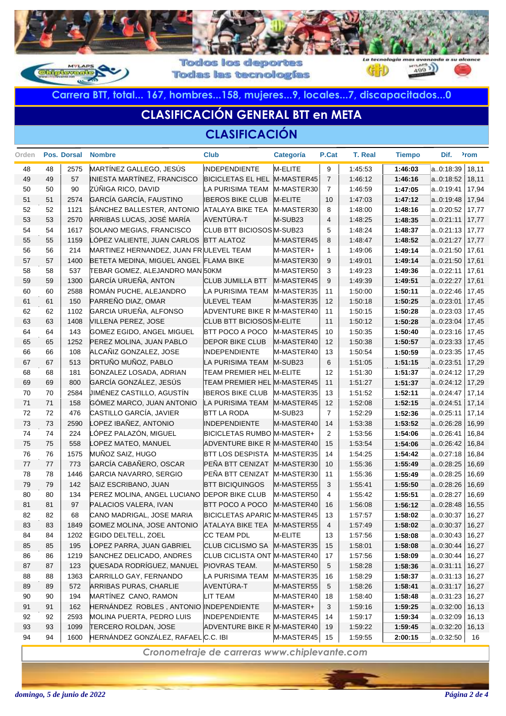

**Todas las tecnologías** 

**Carrera BTT, total... 167, hombres...158, mujeres...9, locales...7, discapacitados...0**

## **CLASIFICACIÓN GENERAL BTT en META**

### **CLASIFICACIÓN**

| Orden |    | Pos. Dorsal | <b>Nombre</b>                           | <b>Club</b>                         | Categoría           | P.Cat          | T. Real | <b>Tiempo</b> | Dif.      | <sup>2</sup> rom |
|-------|----|-------------|-----------------------------------------|-------------------------------------|---------------------|----------------|---------|---------------|-----------|------------------|
| 48    | 48 | 2575        | MARTÍNEZ GALLEGO, JESÚS                 | <b>INDEPENDIENTE</b>                | M-ELITE             | 9              | 1:45:53 | 1:46:03       | a0:18:39  | 18,11            |
| 49    | 49 | 57          | INIESTA MARTÍNEZ, FRANCISCO             | BICICLETAS EL HEL M-MASTER45        |                     | $\overline{7}$ | 1:46:12 | 1:46:16       | a0:18:52  | 18,11            |
| 50    | 50 | 90          | ZÚÑIGA RICO, DAVID                      | LA PURISIMA TEAM                    | M-MASTER30          | $\overline{7}$ | 1:46:59 | 1:47:05       | a0:19:41  | 17,94            |
| 51    | 51 | 2574        | GARCÍA GARCÍA, FAUSTINO                 | <b>IBEROS BIKE CLUB</b>             | M-ELITE             | 10             | 1.47:03 | 1:47:12       | a0:19:48  | 17,94            |
| 52    | 52 | 1121        | SÁNCHEZ BALLESTER, ANTONIO              | <b>ATALAYA BIKE TEA</b>             | M-MASTER30          | 8              | 1:48:00 | 1:48:16       | a0:20:52  | 17,77            |
| 53    | 53 | 2570        | ARRIBAS LUCAS, JOSÉ MARÍA               | AVENTÚRA-T                          | M-SUB <sub>23</sub> | $\overline{4}$ | 1:48:25 | 1:48:35       | a.0:21:11 | 17,77            |
| 54    | 54 | 1617        | SOLANO MEGIAS, FRANCISCO                | CLUB BTT BICIOSOS M-SUB23           |                     | 5              | 1:48:24 | 1:48:37       | a.0:21:13 | 17,77            |
| 55    | 55 | 1159        | LÓPEZ VALIENTE, JUAN CARLOS             | <b>BTT ALATOZ</b>                   | M-MASTER45          | 8              | 1.48.47 | 1:48:52       | a0:21:27  | 17,77            |
| 56    | 56 | 214         | MARTINEZ HERNANDEZ, JUAN FR ULEVEL TEAM |                                     | M-MASTER+           | $\mathbf{1}$   | 1:49:06 | 1:49:14       | a0:21:50  | 17,61            |
| 57    | 57 | 1400        | BETETA MEDINA, MIGUEL ANGEL FLAMA BIKE  |                                     | M-MASTER30          | 9              | 1:49:01 | 1:49:14       | a0:21:50  | 17,61            |
| 58    | 58 | 537         | TEBAR GOMEZ, ALEJANDRO MAN 50KM         |                                     | M-MASTER50          | 3              | 1:49:23 | 1:49:36       | a0:22:11  | 17,61            |
| 59    | 59 | 1300        | GARCÍA URUEÑA, ANTON                    | <b>CLUB JUMILLA BTT</b>             | M-MASTER45          | 9              | 1:49:39 | 1:49:51       | a0:22:27  | 17,61            |
| 60    | 60 | 2588        | ROMÁN PUCHE, ALEJANDRO                  | LA PURISIMA TEAM                    | M-MASTER35          | 11             | 1:50:00 | 1:50:11       | a0:22:46  | 17,45            |
| 61    | 61 | 150         | PARREÑO DIAZ, OMAR                      | <b>ULEVEL TEAM</b>                  | M-MASTER35          | 12             | 1:50:18 | 1:50:25       | a.0:23:01 | 17,45            |
| 62    | 62 | 1102        | GARCIA URUEÑA, ALFONSO                  | ADVENTURE BIKE R M-MASTER40         |                     | 11             | 1:50:15 | 1:50:28       | a0:23:03  | 17,45            |
| 63    | 63 | 1408        | VILLENA PEREZ, JOSE                     | CLUB BTT BICIOSOS M-ELITE           |                     | 11             | 1:50:12 | 1:50:28       | a0:23:04  | 17,45            |
| 64    | 64 | 143         | GOMEZ EGIDO, ANGEL MIGUEL               | <b>BTT POCO A POCO</b>              | M-MASTER45          | 10             | 1:50:35 | 1:50:40       | a0:23:16  | 17,45            |
| 65    | 65 | 1252        | PEREZ MOLINA, JUAN PABLO                | <b>DEPOR BIKE CLUB</b>              | M-MASTER40          | 12             | 1:50:38 | 1:50:57       | a0:23:33  | 17,45            |
| 66    | 66 | 108         | ALCAÑIZ GONZALEZ, JOSE                  | <b>INDEPENDIENTE</b>                | M-MASTER40          | 13             | 1:50:54 | 1:50:59       | a0:23:35  | 17,45            |
| 67    | 67 | 513         | ORTUÑO MUÑOZ, PABLO                     | LA PURISIMA TEAM                    | M-SUB <sub>23</sub> | 6              | 1:51:05 | 1:51:15       | a0:23:51  | 17,29            |
| 68    | 68 | 181         | GONZALEZ LOSADA, ADRIAN                 | TEAM PREMIER HEL M-ELITE            |                     | 12             | 1:51:30 | 1:51:37       | a0:24:12  | 17,29            |
| 69    | 69 | 800         | GARCÍA GONZÁLEZ, JESÚS                  | <b>TEAM PREMIER HEL M-MASTER45</b>  |                     | 11             | 1:51:27 | 1:51:37       | a.0:24:12 | 17,29            |
| 70    | 70 | 2584        | JIMÉNEZ CASTILLO, AGUSTÍN               | <b>IBEROS BIKE CLUB</b>             | M-MASTER35          | 13             | 1:51:52 | 1:52:11       | a0:24:47  | 17,14            |
| 71    | 71 | 158         | GÓMEZ MARCO, JUAN ANTONIO               | LA PURISIMA TEAM                    | M-MASTER45          | 12             | 1:52:08 | 1:52:15       | a0:24:51  | 17,14            |
| 72    | 72 | 476         | CASTILLO GARCÍA, JAVIER                 | <b>BTT LA RODA</b>                  | M-SUB <sub>23</sub> | $\overline{7}$ | 1:52:29 | 1:52:36       | a0:25:11  | 17,14            |
| 73    | 73 | 2590        | LOPEZ IBAÑEZ, ANTONIO                   | <b>INDEPENDIENTE</b>                | M-MASTER40          | 14             | 1:53:38 | 1:53:52       | a0:26:28  | 16,99            |
| 74    | 74 | 224         | LÓPEZ PALAZÓN, MIGUEL                   | BICICLETAS RUMBO M-MASTER+          |                     | 2              | 1:53:56 | 1:54:06       | a0:26:41  | 16,84            |
| 75    | 75 | 558         | LOPEZ MATEO, MANUEL                     | ADVENTURE BIKE R M-MASTER40         |                     | 15             | 1:53:54 | 1:54:06       | a0:26:42  | 16,84            |
| 76    | 76 | 1575        | MUÑOZ SAIZ, HUGO                        | <b>BTT LOS DESPISTA</b>             | M-MASTER35          | 14             | 1:54:25 | 1:54:42       | a0:27:18  | 16,84            |
| 77    | 77 | 773         | GARCÍA CABAÑERO, OSCAR                  | PEÑA BTT CENIZAT                    | M-MASTER30          | 10             | 1:55:36 | 1:55:49       | a0:28:25  | 16,69            |
| 78    | 78 | 1446        | GARCIA NAVARRO, SERGIO                  | PEÑA BTT CENIZAT                    | M-MASTER30          | 11             | 1:55:36 | 1:55:49       | a0:28:25  | 16,69            |
| 79    | 79 | 142         | SAIZ ESCRIBANO, JUAN                    | <b>BTT BICIQUINGOS</b>              | M-MASTER55          | 3              | 1:55:41 | 1:55:50       | a0:28:26  | 16,69            |
| 80    | 80 | 134         | PEREZ MOLINA, ANGEL LUCIANO             | <b>DEPOR BIKE CLUB</b>              | M-MASTER50          | 4              | 1:55:42 | 1:55:51       | a0:28:27  | 16,69            |
| 81    | 81 | 97          | PALACIOS VALERA, IVAN                   | <b>BTT POCO A POCO</b>              | M-MASTER40          | 16             | 1:56:08 | 1:56:12       | a0:28:48  | 16,55            |
| 82    | 82 | 68          | CANO MADRIGAL, JOSE MARIA               | <b>BICICLETAS APARIC M-MASTER45</b> |                     | 13             | 1:57:57 | 1:58:02       | a0:30:37  | 16,27            |
| 83    | 83 | 1849        | GOMEZ MOLINA, JOSE ANTONIO              | <b>ATALAYA BIKE TEA</b>             | M-MASTER55          | $\overline{4}$ | 1:57:49 | 1:58:02       | a0:30:37  | 16,27            |
| 84    | 84 | 1202        | EGIDO DELTELL, ZOEL                     | CC TEAM PDL                         | M-ELITE             | 13             | 1:57:56 | 1:58:08       | a0:30:43  | 16,27            |
| 85    | 85 | 195         | LOPEZ PARRA, JUAN GABRIEL               | <b>CLUB CICLISMO SA</b>             | M-MASTER35          | 15             | 1:58:01 | 1:58:08       | a.0.30.44 | 16,27            |
| 86    | 86 | 1219        | SANCHEZ DELICADO, ANDRES                | CLUB CICLISTA ONT M-MASTER40        |                     | 17             | 1:57:56 | 1:58:09       | a0:30:44  | 16,27            |
| 87    | 87 | 123         | QUESADA RODRÍGUEZ, MANUEL               | PIOVRAS TEAM.                       | M-MASTER50          | 5              | 1:58:28 | 1:58:36       | a.0.31:11 | 16,27            |
| 88    | 88 | 1363        | CARRILLO GAY, FERNANDO                  | LA PURISIMA TEAM                    | M-MASTER35          | 16             | 1:58:29 | 1:58:37       | a.0.31:13 | 16,27            |
| 89    | 89 | 572         | ARRIBAS PURAS, CHARLIE                  | AVENTÚRA-T                          | M-MASTER55          | 5              | 1:58:26 | 1:58:41       | a.0.31:17 | 16,27            |
| 90    | 90 | 194         | MARTÍNEZ CANO, RAMON                    | <b>LIT TEAM</b>                     | M-MASTER40          | 18             | 1:58:40 | 1:58:48       | a0:31:23  | 16,27            |
| 91    | 91 | 162         | HERNÁNDEZ ROBLES, ANTONIO INDEPENDIENTE |                                     | M-MASTER+           | 3              | 1:59:16 | 1:59:25       | a0:32:00  | 16,13            |
| 92    | 92 | 2593        | MOLINA PUERTA, PEDRO LUIS               | <b>INDEPENDIENTE</b>                | M-MASTER45          | 14             | 1:59:17 | 1:59:34       | a0:32:09  | 16,13            |
| 93    | 93 | 1099        | TERCERO ROLDAN, JOSE                    | ADVENTURE BIKE R M-MASTER40         |                     | 19             | 1:59:22 | 1:59:45       | a.0:32:20 | 16,13            |
| 94    | 94 | 1600        | HERNÁNDEZ GONZÁLEZ, RAFAEL C.C. IBI     |                                     | M-MASTER45          | 15             | 1:59:55 | 2:00:15       | a0:32:50  | 16               |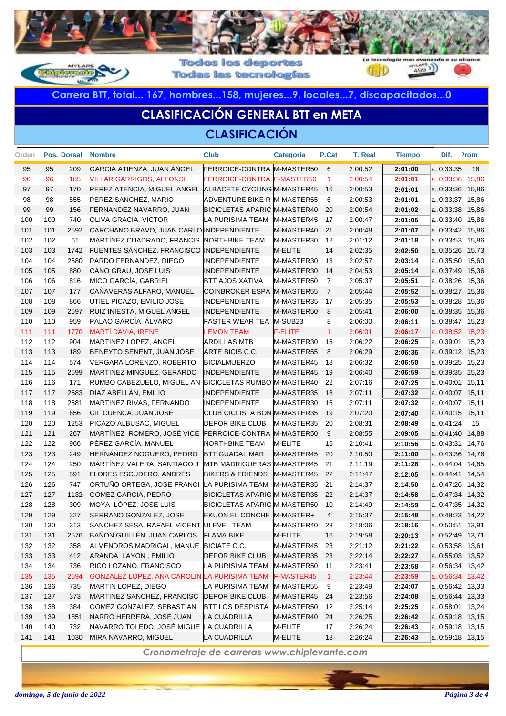

**Todas las tecnologías** 

**Carrera BTT, total... 167, hombres...158, mujeres...9, locales...7, discapacitados...0**

## **CLASIFICACIÓN GENERAL BTT en META**

#### **CLASIFICACIÓN**

| Orden |     | Pos. Dorsal | <b>Nombre</b>                                           | <b>Club</b>                         | Categoría           | P.Cat                | <b>T. Real</b> | <b>Tiempo</b> | Dif.              | <sup>2</sup> rom |
|-------|-----|-------------|---------------------------------------------------------|-------------------------------------|---------------------|----------------------|----------------|---------------|-------------------|------------------|
| 95    | 95  | 209         | GARCIA ATIENZA, JUAN ANGEL                              | FERROICE-CONTRA M-MASTER50          |                     | 6                    | 2:00:52        | 2:01:00       | a0:33:35          | 16               |
| 96    | 96  | 185         | <b>VILLAR GARRIGOS, ALFONSI</b>                         | FERROICE-CONTRA F-MASTER50          |                     | $\blacktriangleleft$ | 2:00:54        | 2:01:01       | a.0:33:36         | 15,86            |
| 97    | 97  | 170         | PEREZ ATENCIA, MIGUEL ANGEL ALBACETE CYCLING M-MASTER45 |                                     |                     | 16                   | 2:00:53        | 2:01:01       | a0:33:36          | 15,86            |
| 98    | 98  | 555         | PEREZ SANCHEZ, MARIO                                    | ADVENTURE BIKE R M-MASTER55         |                     | 6                    | 2:00:53        | 2:01:01       | a0:33:37          | 15,86            |
| 99    | 99  | 156         | FERNANDEZ NAVARRO, JUAN                                 | <b>BICICLETAS APARIC M-MASTER40</b> |                     | 20                   | 2:00:54        | 2:01:02       | a0:33:38          | 15,86            |
| 100   | 100 | 740         | OLIVA GRACIA, VICTOR                                    | LA PURISIMA TEAM                    | M-MASTER45          | 17                   | 2:00:47        | 2:01:05       | a0:33:40          | 15,86            |
| 101   | 101 | 2592        | CARCHANO BRAVO, JUAN CARLO INDEPENDIENTE                |                                     | M-MASTER40          | 21                   | 2:00:48        | 2:01:07       | a0:33:42          | 15,86            |
| 102   | 102 | 61          | MARTÍNEZ CUADRADO, FRANCIS                              | <b>NORTHBIKE TEAM</b>               | M-MASTER30          | 12                   | 2:01:12        | 2:01:18       | a0:33:53          | 15,86            |
| 103   | 103 | 1742        | FUENTES SÁNCHEZ, FRANCISCO                              | <b>INDEPENDIENTE</b>                | M-ELITE             | 14                   | 2:02:35        | 2:02:50       | a0:35:26          | 15,73            |
| 104   | 104 | 2580        | PARDO FERNANDEZ, DIEGO                                  | <b>INDEPENDIENTE</b>                | M-MASTER30          | 13                   | 2:02:57        | 2:03:14       | a0:35:50          | 15,60            |
| 105   | 105 | 880         | CANO GRAU, JOSE LUIS                                    | <b>INDEPENDIENTE</b>                | M-MASTER30          | 14                   | 2:04:53        | 2:05:14       | a0:37:49          | 15,36            |
| 106   | 106 | 816         | MICO GARCÍA, GABRIEL                                    | <b>BTT AJOS XATIVA</b>              | M-MASTER50          | $\overline{7}$       | 2:05:37        | 2:05:51       | a0:38:26          | 15,36            |
| 107   | 107 | 177         | CAÑAVERAS ALFARO, MANUEL                                | COINBROKER ESPA M-MASTER55          |                     | $\overline{7}$       | 2:05:44        | 2:05:52       | a0:38:27          | 15,36            |
| 108   | 108 | 866         | UTIEL PICAZO, EMILIO JOSE                               | <b>INDEPENDIENTE</b>                | M-MASTER35          | 17                   | 2:05:35        | 2:05:53       | a0:38:28          | 15,36            |
| 109   | 109 | 2597        | RUIZ INIESTA, MIGUEL ANGEL                              | <b>INDEPENDIENTE</b>                | M-MASTER50          | 8                    | 2:05:41        | 2:06:00       | a0:38:35          | 15,36            |
| 110   | 110 | 959         | PALAO GARCÍA, ÁLVARO                                    | <b>FASTER WEAR TEA</b>              | M-SUB <sub>23</sub> | 8                    | 2:06:00        | 2:06:11       | a0:38:47          | 15,23            |
| 111   | 111 | 1770        | <b>MARTÍ DAVIA, IRENE</b>                               | <b>LEMON TEAM</b>                   | <b>F-ELITE</b>      | $\overline{1}$       | 2:06:01        | 2:06:17       | a.0:38:52         | 15,23            |
| 112   | 112 | 904         | MARTINEZ LOPEZ, ANGEL                                   | <b>ARDILLAS MTB</b>                 | M-MASTER30          | 15                   | 2:06:22        | 2:06:25       | a0:39:01          | 15,23            |
| 113   | 113 | 189         | BENEYTO SENENT, JUAN JOSE                               | ARTE BICIS C.C.                     | M-MASTER55          | 8                    | 2:06:29        | 2:06:36       | a0:39:12          | 15,23            |
| 114   | 114 | 574         | VERGARA LORENZO, ROBERTO                                | <b>BICIALMUERZO</b>                 | M-MASTER45          | 18                   | 2:06:32        | 2:06:50       | a0:39:25          | 15,23            |
| 115   | 115 | 2599        | MARTINEZ MINGUEZ, GERARDO                               | INDEPENDIENTE                       | M-MASTER45          | 19                   | 2:06:40        | 2:06:59       | a0:39:35          | 15,23            |
| 116   | 116 | 171         | RUMBO CABEZUELO, MIGUEL AN                              | BICICLETAS RUMBO M-MASTER40         |                     | 22                   | 2:07:16        | 2:07:25       | a0:40:01          | 15,11            |
| 117   | 117 | 2583        | DÍAZ ABELLÁN, EMILIO                                    | <b>INDEPENDIENTE</b>                | M-MASTER35          | 18                   | 2:07:11        | 2:07:32       | a0:40:07          | 15,11            |
| 118   | 118 | 2581        | MARTINEZ RIVAS, FERNANDO                                | <b>INDEPENDIENTE</b>                | M-MASTER30          | 16                   | 2:07:11        | 2:07:32       | a0:40:07          | 15,11            |
| 119   | 119 | 656         | GIL CUENCA, JUAN JOSÉ                                   | CLUB CICLISTA BON M-MASTER35        |                     | 19                   | 2:07:20        | 2:07:40       | a0:40:15          | 15,11            |
| 120   | 120 | 1253        | PICAZO ALBUSAC, MIGUEL                                  | <b>DEPOR BIKE CLUB</b>              | M-MASTER35          | 20                   | 2:08:31        | 2:08:49       | a0:41:24          | 15               |
| 121   | 121 | 267         | MARTÍNEZ ROMERO, JOSÉ VICE                              | FERROICE-CONTRA M-MASTER50          |                     | 9                    | 2:08:55        | 2:09:05       | a0:41:40          | 14,88            |
| 122   | 122 | 966         | PÉREZ GARCÍA, MANUEL                                    | <b>NORTHBIKE TEAM</b>               | M-ELITE             | 15                   | 2:10:41        | 2:10:56       | a0:43:31          | 14,76            |
| 123   | 123 | 249         | HERNÁNDEZ NOGUERO, PEDRO                                | <b>BTT GUADALIMAR</b>               | M-MASTER45          | 20                   | 2:10:50        | 2:11:00       | a0:43:36          | 14,76            |
| 124   | 124 | 250         | MARTÍNEZ VALERA, SANTIAGO J                             | MTB MADRIGUERAS M-MASTER45          |                     | 21                   | 2:11:19        | 2:11:28       | a0:44:04          | 14,65            |
| 125   | 125 | 591         | FLORES ESCUDERO, ANDRÉS                                 | <b>BIKERS &amp; FRIENDS</b>         | M-MASTER45          | 22                   | 2:11:47        | 2:12:05       | a0:44:41          | 14,54            |
| 126   | 126 | 747         | ORTUÑO ORTEGA, JOSE FRANCI                              | LA PURISIMA TEAM                    | M-MASTER35          | 21                   | 2:14:37        | 2:14:50       | a0:47:26          | 14,32            |
| 127   | 127 | 1132        | <b>GOMEZ GARCIA, PEDRO</b>                              | <b>BICICLETAS APARIC M-MASTER35</b> |                     | 22                   | 2:14:37        | 2:14:58       | a0:47:34          | 14,32            |
| 128   | 128 | 309         | MOYA LÓPEZ, JOSE LUIS                                   | <b>BICICLETAS APARIC M-MASTER50</b> |                     | 10                   | 2:14:49        | 2:14:59       | a0:47:35          | 14,32            |
| 129   | 129 | 327         | SERRANO GONZALEZ, JOSE                                  | EKUON EL CONCHE M-MASTER+           |                     | $\overline{4}$       | 2:15:37        | 2:15:48       | a0:48:23          | 14,22            |
| 130   | 130 | 313         | SANCHEZ SESA, RAFAEL VICENT                             | <b>ULEVEL TEAM</b>                  | M-MASTER40          | 23                   | 2:18:06        | 2:18:16       | a0:50:51          | 13,91            |
| 131   | 131 | 2576        | BAÑON GUILLÉN, JUAN CARLOS                              | <b>FLAMA BIKE</b>                   | M-ELITE             | 16                   | 2:19:58        | 2:20:13       | a0:52:49          | 13,71            |
| 132   | 132 | 358         | ALMENDROS MADRIGAL, MANUE                               | <b>BICIATE C.C.</b>                 | M-MASTER45          | 23                   | 2:21:12        | 2:21:22       | a0:53:58          | 13,61            |
| 133   | 133 | 412         | ARANDA LAYON, EMILIO                                    | <b>DEPOR BIKE CLUB</b>              | M-MASTER35          | 23                   | 2:22:14        | 2:22:27       | a0:55:03          | 13,52            |
| 134   | 134 | 736         | RICO LOZANO, FRANCISCO                                  | LA PURISIMA TEAM                    | M-MASTER50          | 11                   | 2:23:41        | 2:23:58       | a0:56:34          | 13,42            |
| 135   | 135 | 2594        | GONZALEZ LOPEZ, ANA CAROLIN LA PURISIMA TEAM            |                                     | F-MASTER45          | $\overline{1}$       | 2:23:44        | 2:23:59       | a0:56:34          | 13,42            |
| 136   | 136 | 735         | MARTIN LOPEZ, DIEGO                                     | LA PURISIMA TEAM                    | M-MASTER55          | 9                    | 2:23:49        | 2:24:07       | a0:56:42          | 13,33            |
| 137   | 137 | 373         | MARTINEZ SANCHEZ, FRANCISC                              | <b>DEPOR BIKE CLUB</b>              | M-MASTER45          | 24                   | 2:23:56        | 2:24:08       | a0:56:44          | 13,33            |
| 138   | 138 | 384         | GOMEZ GONZALEZ, SEBASTIAN                               | <b>BTT LOS DESPISTA</b>             | M-MASTER50          | 12                   | 2:25:14        | 2:25:25       | a0:58:01          | 13,24            |
| 139   | 139 | 1851        | NARRO HERRERA, JOSE JUAN                                | <b>LA CUADRILLA</b>                 | M-MASTER40          | 24                   | 2:26:25        | 2:26:42       | a0:59:18          | 13,15            |
| 140   | 140 | 732         | NAVARRO TOLEDO, JOSÉ MIGUE                              | <b>LA CUADRILLA</b>                 | M-ELITE             | 17                   | 2:26:24        | 2:26:43       | a0:59:18          | 13,15            |
| 141   | 141 | 1030        | MIRA NAVARRO, MIGUEL                                    | <b>LA CUADRILLA</b>                 | M-ELITE             | 18                   | 2:26:24        | 2:26:43       | $a.0.59.18$ 13,15 |                  |